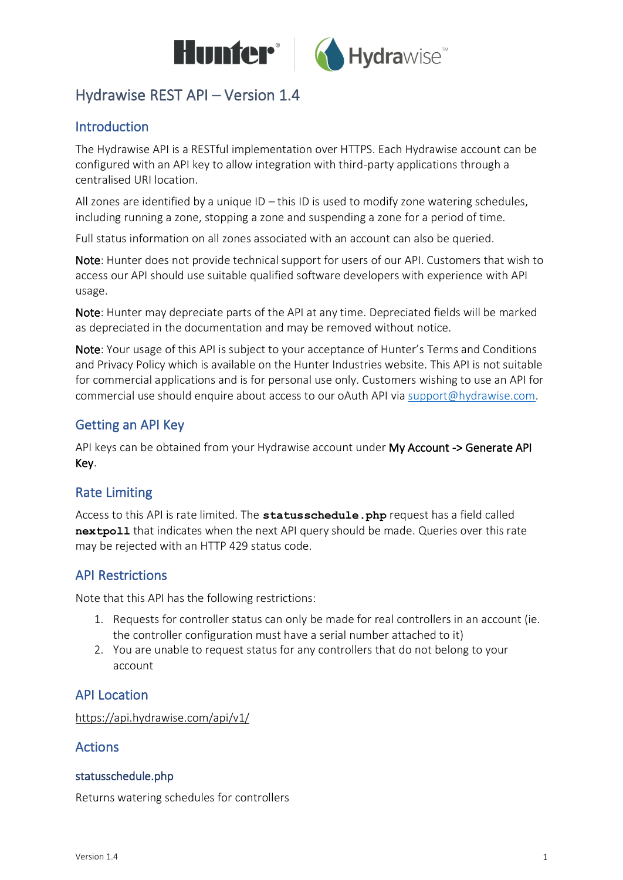

# Hydrawise REST API – Version 1.4

## Introduction

The Hydrawise API is a RESTful implementation over HTTPS. Each Hydrawise account can be configured with an API key to allow integration with third-party applications through a centralised URI location.

All zones are identified by a unique ID – this ID is used to modify zone watering schedules, including running a zone, stopping a zone and suspending a zone for a period of time.

Full status information on all zones associated with an account can also be queried.

Note: Hunter does not provide technical support for users of our API. Customers that wish to access our API should use suitable qualified software developers with experience with API usage.

Note: Hunter may depreciate parts of the API at any time. Depreciated fields will be marked as depreciated in the documentation and may be removed without notice.

Note: Your usage of this API is subject to your acceptance of Hunter's Terms and Conditions and Privacy Policy which is available on the Hunter Industries website. This API is not suitable for commercial applications and is for personal use only. Customers wishing to use an API for commercial use should enquire about access to our oAuth API vi[a support@hydrawise.com.](mailto:support@hydrawise.com)

## Getting an API Key

API keys can be obtained from your Hydrawise account under My Account -> Generate API Key.

## Rate Limiting

Access to this API is rate limited. The **statusschedule.php** request has a field called **nextpoll** that indicates when the next API query should be made. Queries over this rate may be rejected with an HTTP 429 status code.

#### API Restrictions

Note that this API has the following restrictions:

- 1. Requests for controller status can only be made for real controllers in an account (ie. the controller configuration must have a serial number attached to it)
- 2. You are unable to request status for any controllers that do not belong to your account

#### API Location

https://api.hydrawise.com/api/v1/

#### Actions

#### statusschedule.php

Returns watering schedules for controllers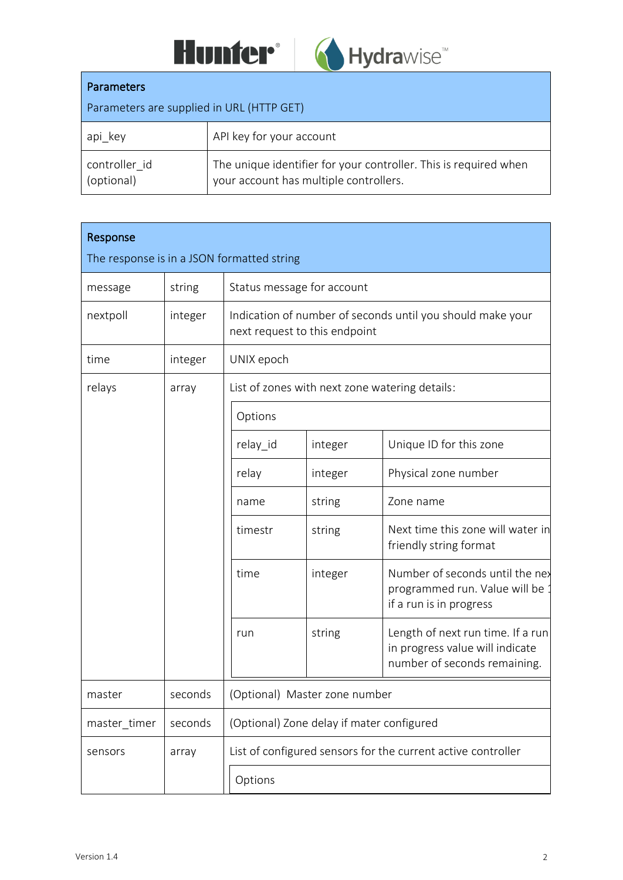



#### Parameters

| Parameters are supplied in URL (HTTP GET) |                                                                                                            |  |  |
|-------------------------------------------|------------------------------------------------------------------------------------------------------------|--|--|
| api key                                   | API key for your account                                                                                   |  |  |
| controller id<br>(optional)               | The unique identifier for your controller. This is required when<br>your account has multiple controllers. |  |  |

| Response                                   |         |                                                              |                                                                                             |                                                                                                      |  |  |
|--------------------------------------------|---------|--------------------------------------------------------------|---------------------------------------------------------------------------------------------|------------------------------------------------------------------------------------------------------|--|--|
| The response is in a JSON formatted string |         |                                                              |                                                                                             |                                                                                                      |  |  |
| message                                    | string  | Status message for account                                   |                                                                                             |                                                                                                      |  |  |
| nextpoll                                   | integer |                                                              | Indication of number of seconds until you should make your<br>next request to this endpoint |                                                                                                      |  |  |
| time                                       | integer | UNIX epoch                                                   |                                                                                             |                                                                                                      |  |  |
| relays                                     | array   |                                                              |                                                                                             | List of zones with next zone watering details:                                                       |  |  |
|                                            |         | Options                                                      |                                                                                             |                                                                                                      |  |  |
|                                            |         | relay_id                                                     | integer                                                                                     | Unique ID for this zone                                                                              |  |  |
|                                            |         | relay                                                        | integer                                                                                     | Physical zone number                                                                                 |  |  |
|                                            |         | name                                                         | string                                                                                      | Zone name                                                                                            |  |  |
|                                            |         | timestr                                                      | string                                                                                      | Next time this zone will water in<br>friendly string format                                          |  |  |
|                                            |         | time                                                         | integer                                                                                     | Number of seconds until the nex<br>programmed run. Value will be<br>if a run is in progress          |  |  |
|                                            |         | run                                                          | string                                                                                      | Length of next run time. If a run<br>in progress value will indicate<br>number of seconds remaining. |  |  |
| master                                     | seconds | (Optional) Master zone number                                |                                                                                             |                                                                                                      |  |  |
| master_timer                               | seconds | (Optional) Zone delay if mater configured                    |                                                                                             |                                                                                                      |  |  |
| sensors                                    | array   | List of configured sensors for the current active controller |                                                                                             |                                                                                                      |  |  |
|                                            |         | Options                                                      |                                                                                             |                                                                                                      |  |  |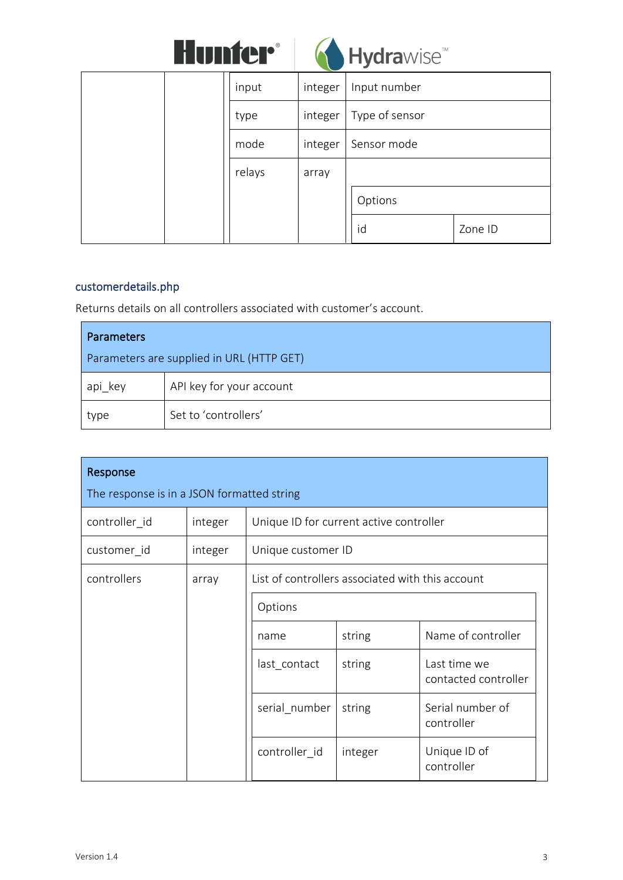|  | <b>Hunter</b> ® |  |
|--|-----------------|--|
|  |                 |  |



|        |         | -------------  |         |
|--------|---------|----------------|---------|
| input  | integer | Input number   |         |
| type   | integer | Type of sensor |         |
| mode   | integer | Sensor mode    |         |
| relays | array   |                |         |
|        |         | Options        |         |
|        |         | id             | Zone ID |

## customerdetails.php

Returns details on all controllers associated with customer's account.

| <b>Parameters</b>                         |                          |  |
|-------------------------------------------|--------------------------|--|
| Parameters are supplied in URL (HTTP GET) |                          |  |
| api key                                   | API key for your account |  |
| type                                      | Set to 'controllers'     |  |

| Response<br>The response is in a JSON formatted string |         |                                                  |         |                                      |  |  |         |  |  |
|--------------------------------------------------------|---------|--------------------------------------------------|---------|--------------------------------------|--|--|---------|--|--|
| controller id                                          | integer | Unique ID for current active controller          |         |                                      |  |  |         |  |  |
| customer_id                                            | integer | Unique customer ID                               |         |                                      |  |  |         |  |  |
| controllers                                            | array   | List of controllers associated with this account |         |                                      |  |  |         |  |  |
|                                                        |         |                                                  |         |                                      |  |  | Options |  |  |
|                                                        |         | name                                             | string  | Name of controller                   |  |  |         |  |  |
|                                                        |         | last_contact                                     | string  | Last time we<br>contacted controller |  |  |         |  |  |
|                                                        |         | serial number                                    | string  | Serial number of<br>controller       |  |  |         |  |  |
|                                                        |         | controller id                                    | integer | Unique ID of<br>controller           |  |  |         |  |  |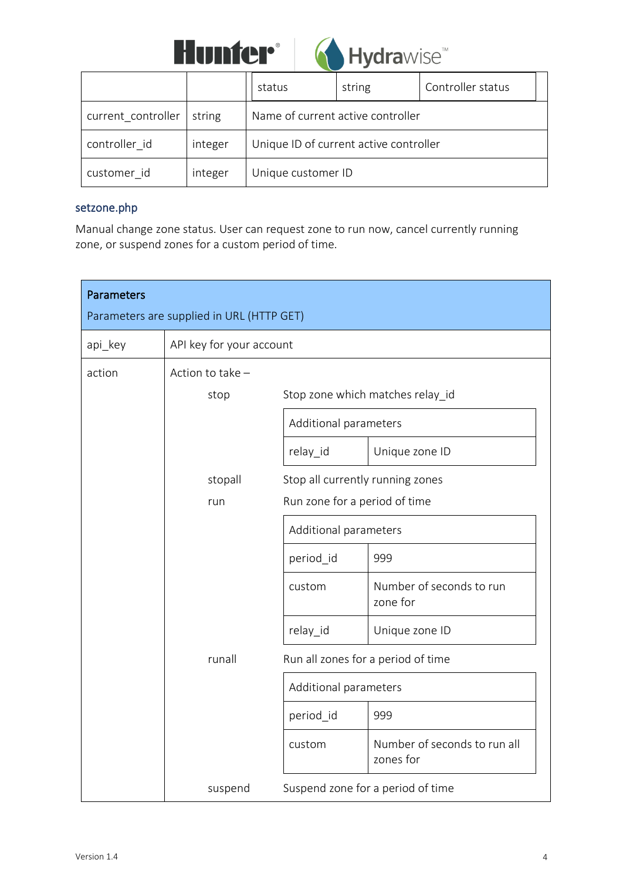



|                    |         | status                                 | string | Controller status |  |
|--------------------|---------|----------------------------------------|--------|-------------------|--|
| current_controller | string  | Name of current active controller      |        |                   |  |
| controller id      | integer | Unique ID of current active controller |        |                   |  |
| customer id        | integer | Unique customer ID                     |        |                   |  |

#### setzone.php

Manual change zone status. User can request zone to run now, cancel currently running zone, or suspend zones for a custom period of time.

| <b>Parameters</b> | Parameters are supplied in URL (HTTP GET) |                                  |                                           |
|-------------------|-------------------------------------------|----------------------------------|-------------------------------------------|
| api_key           | API key for your account                  |                                  |                                           |
| action            | Action to take -                          |                                  |                                           |
|                   | stop                                      |                                  | Stop zone which matches relay_id          |
|                   | Additional parameters                     |                                  |                                           |
|                   |                                           | relay_id                         | Unique zone ID                            |
|                   | stopall                                   | Stop all currently running zones |                                           |
|                   | run                                       | Run zone for a period of time    |                                           |
|                   |                                           | Additional parameters            |                                           |
|                   |                                           | period id                        | 999                                       |
|                   |                                           | custom                           | Number of seconds to run<br>zone for      |
|                   |                                           | relay_id                         | Unique zone ID                            |
|                   | runall                                    |                                  | Run all zones for a period of time        |
|                   |                                           | Additional parameters            |                                           |
|                   |                                           | period id                        | 999                                       |
|                   |                                           | custom                           | Number of seconds to run all<br>zones for |
|                   | suspend                                   |                                  | Suspend zone for a period of time         |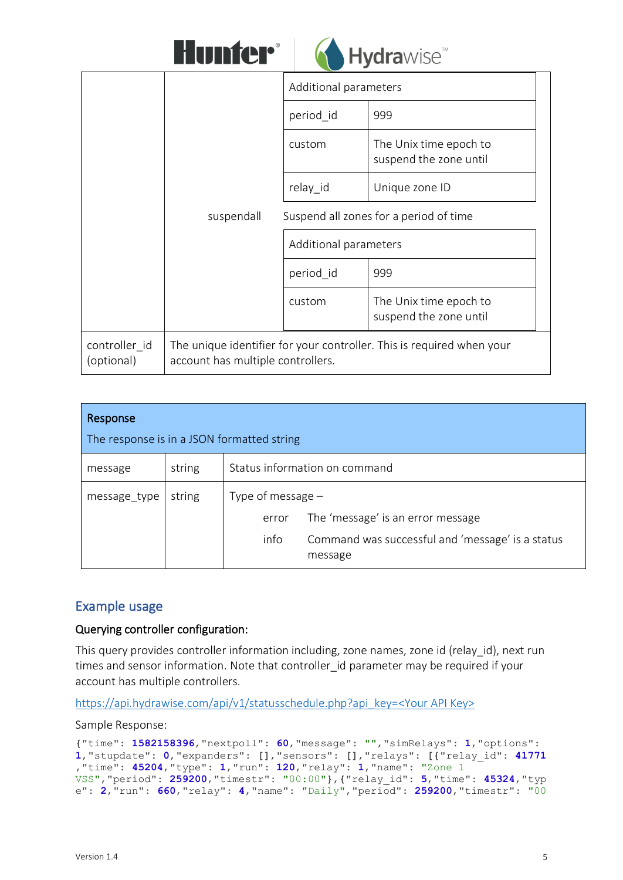



|                             | suspendall                        | Additional parameters                            |                                                                       |  |
|-----------------------------|-----------------------------------|--------------------------------------------------|-----------------------------------------------------------------------|--|
|                             |                                   | period id                                        | 999                                                                   |  |
|                             |                                   | custom                                           | The Unix time epoch to<br>suspend the zone until                      |  |
|                             |                                   | relay id                                         | Unique zone ID                                                        |  |
|                             |                                   |                                                  | Suspend all zones for a period of time                                |  |
|                             |                                   | Additional parameters                            |                                                                       |  |
|                             |                                   | period id                                        | 999                                                                   |  |
|                             | custom                            | The Unix time epoch to<br>suspend the zone until |                                                                       |  |
| controller id<br>(optional) | account has multiple controllers. |                                                  | The unique identifier for your controller. This is required when your |  |

| Response                                   |        |                     |                                                             |  |  |
|--------------------------------------------|--------|---------------------|-------------------------------------------------------------|--|--|
| The response is in a JSON formatted string |        |                     |                                                             |  |  |
| message                                    | string |                     | Status information on command                               |  |  |
| message_type                               | string | Type of message $-$ |                                                             |  |  |
|                                            |        | error               | The 'message' is an error message                           |  |  |
|                                            |        | info                | Command was successful and 'message' is a status<br>message |  |  |

## Example usage

#### Querying controller configuration:

This query provides controller information including, zone names, zone id (relay id), next run times and sensor information. Note that controller id parameter may be required if your account has multiple controllers.

[https://api.hydrawise.com/api/v1/statusschedule.php?api\\_key=<Your API Key>](https://api.hydrawise.com/api/v1/statusschedule.php?api_key=%3cYour%20API%20Key%3e)

Sample Response:

```
{"time": 1582158396,"nextpoll": 60,"message": "","simRelays": 1,"options":
1,"stupdate": 0,"expanders": [],"sensors": [],"relays": [{"relay_id": 41771
,"time": 45204,"type": 1,"run": 120,"relay": 1,"name": "Zone 1 
VSS","period": 259200,"timestr": "00:00"},{"relay_id": 5,"time": 45324,"typ
e": 2,"run": 660,"relay": 4,"name": "Daily","period": 259200,"timestr": "00
```